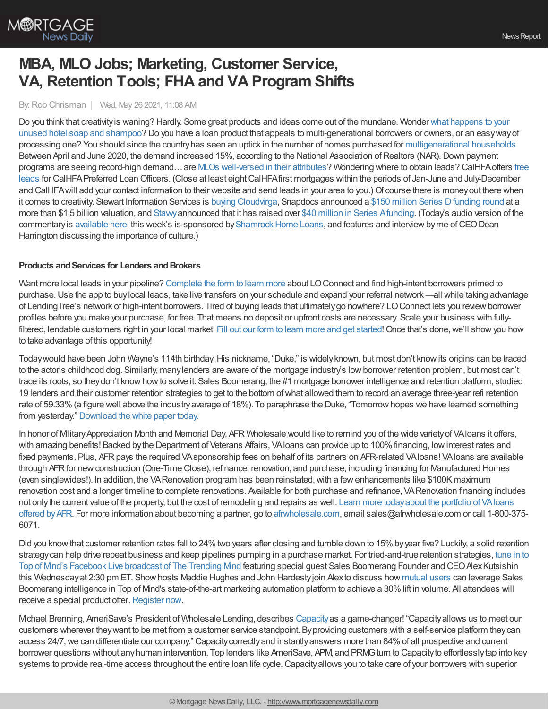

# **MBA, MLO Jobs; Marketing, Customer Service, VA, Retention Tools; FHA and VA Program Shifts**

By:Rob Chrisman | Wed, May 26 2021, 11:08 AM

Do you think that creativityis waning? Hardly. Some great products and ideas come out of the mundane. Wonder what happens to your unused hotel soap and shampoo? Do you have a loan product that appeals to [multi-generational](https://www.youtube.com/watch?v=49oZt8Sl-JA) borrowers or owners, or an easywayof processing one? You should since the countryhas seen an uptick in the number of homes purchased for [multigenerational](https://www.washingtonpost.com/realestate/together-as-a-family-multigenerational-living-rises-in-pandemic/2021/05/12/bd8598f6-a900-11eb-8d25-7b30e74923ea_story.html) households. Between April and June 2020, the demand increased 15%, according to the National Association of Realtors (NAR). Down payment programs are seeing record-high demand…are MLOs [well-versed](https://loanofficerhub.com/those-darn-dpas-how-to-talk-about-down-payment-assistance-with-borrowers-and-real-estate-agents/?) in their attributes? Wondering where to obtain leads? CalHFAoffers free leads for CalHFA Preferred Loan Officers. (Close at least eight CalHFA first mortgages within the periods of Jan-June and July-December and CalHFA will add your contact information to their website and send leads in your area to you.) Of course there is money out there when it comes to creativity. Stewart Information Services is buying [Cloudvirga,](https://www.cloudvirga.com/press/stewart-acquires-cloudvirga-to-strengthen-digital-footprint/) Snapdocs announced a \$150 million Series D funding round at a more than \$1.5 billion valuation, and [Stavvy](https://www.stavvy.com/about)announced that it has raised over \$40 million in Series [Afunding.](https://press.stavvy.com/) (Today's audio version of the commentary is [available](https://linktr.ee/dailymortgagenews) here, this week's is sponsored by Shamrock Home Loans, and features and interview byme of CEO Dean Harrington discussing the importance of culture.)

## **Products and Services for Lenders and Brokers**

Want more local leads in your pipeline? [Complete](https://www.lendingtree.com/forms/partners/LOpurchaseleads?esourceid=6464966&mtaid=0DEB3&cchannel=perf&cproduct=pur&ad_name=o2) the form to learn more about LOConnect and find high-intent borrowers primed to purchase.Use the app to buylocal leads, take live transfers on your schedule and expand your referral network —all while taking advantage of LendingTree's network of high-intent borrowers. Tired of buying leads that ultimatelygo nowhere? LOConnect lets you reviewborrower profiles before you make your purchase, for free. That means no deposit or upfront costs are necessary. Scale your business with fullyfiltered, lendable customers right in your local market! Fill out our form to learn more and get [started!](https://www.lendingtree.com/forms/partners/LOpurchaseleads?esourceid=6464966&mtaid=0DEB3&cchannel=perf&cproduct=pur&ad_name=o2) Once that's done, we'll show you how to take advantage of this opportunity!

Today would have been John Wayne's 114th birthday. His nickname, "Duke," is widely known, but most don't know its origins can be traced to the actor's childhood dog. Similarly, manylenders are aware of the mortgage industry's lowborrower retention problem, but most can't trace its roots, so theydon't knowhowto solve it. Sales Boomerang, the #1 mortgage borrower intelligence and retention platform, studied 19 lenders and their customer retention strategies to get to the bottom ofwhat allowed them to record an average three-year refi retention rate of 59.33% (a figure well above the industry average of 18%). To paraphrase the Duke, "Tomorrow hopes we have learned something from yesterday." [Download](https://hubs.ly/H0NPhYQ0) the white paper today.

In honor of Military Appreciation Month and Memorial Day, AFR Wholesale would like to remind you of the wide variety of VAloans it offers, with amazing benefits! Backed by the Department of Veterans Affairs, VAIoans can provide up to 100% financing, low interest rates and fixed payments. Plus, AFR pays the required VAsponsorship fees on behalf of its partners on AFR-related VAIoans! VAIoans are available through AFR for new construction (One-Time Close), refinance, renovation, and purchase, including financing for Manufactured Homes (even singlewides!). In addition, the VA Renovation program has been reinstated, with a few enhancements like \$100K maximum renovation cost and a longer timeline to complete renovations. Available for both purchase and refinance, VARenovation financing includes not onlythe current value of the property, but the cost of remodeling and repairs as well. Learn more todayabout the portfolio of VAloans offered by AFR. For more information about becoming a partner, go to [afrwholesale.com,](https://www.afrwholesale.com/) email [sales@afrwholesale.com](https://info.afrwholesale.com/va-loans) or call 1-800-375-6071.

Did you know that customer retention rates fall to 24% two years after closing and tumble down to 15% by year five? Luckily, a solid retention strategycan help drive repeat business and keep pipelines pumping in a purchase market. For tried-and-true retention strategies, tune in to Top of Mind's Facebook Live broadcast of The Trending Mind featuring special guest Sales Boomerang Founder and CEO Alex Kutsishin this Wednesdayat 2:30 pm ET. Showhosts Maddie Hughes and John Hardestyjoin Alexto discuss how [mutual](https://www.topofmind.com/integrations/sales-boomerang/?utm_source=PR&utm_medium=Rob_Chrisman&utm_campaign=Sales_Boomerang_Integration) users can leverage Sales Boomerang intelligence in Top of Mind's state-of-the-art marketing automation platform to achieve a 30%lift in volume. All attendees will receive a special product offer. [Register](https://fb.me/e/2LpQHrlL7?utm_source=PR&utm_medium=Rob_Chrisman&utm_campaign=The_Trending_Mind_Live_with_Sales_Boomerang) now.

Michael Brenning, AmeriSave's President of Wholesale Lending, describes [Capacity](https://capacity.com/request-a-demo/?utm_medium=referral&utm_source=rc&utm_campaign=052621)as a game-changer! "Capacityallows us to meet our customers wherever theywant to be met from a customer service standpoint. Byproviding customers with a self-service platform theycan access 24/7, we can differentiate our company." Capacity correctly and instantly answers more than 84% of all prospective and current borrower questions without anyhuman intervention. Top lenders like AmeriSave, APM, and PRMGturn to Capacityto effortlesslytap into key systems to provide real-time access throughout the entire loan life cycle.Capacityallows you to take care of your borrowers with superior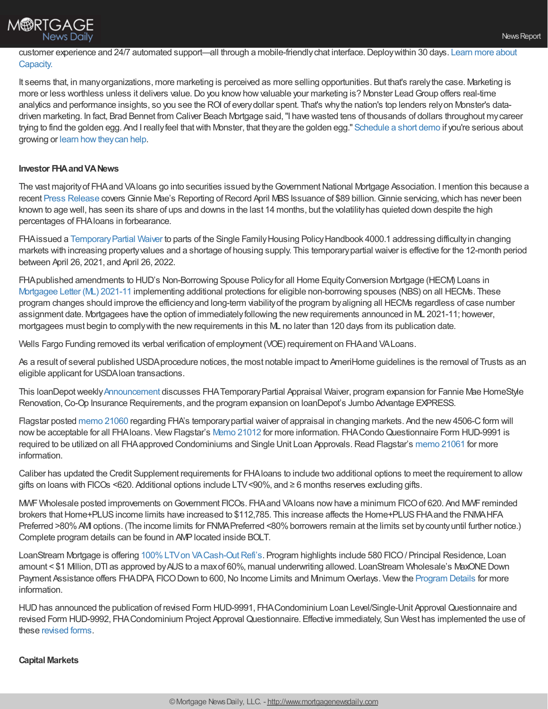

# customer experience and 24/7 automated support—all through a mobile-friendlychat [interface.Deploywithin](https://capacity.com/request-a-demo/?utm_medium=referral&utm_source=rc&utm_campaign=052621) 30 days. Learn more about Capacity.

It seems that, in manyorganizations, more marketing is perceived as more selling opportunities. But that's rarelythe case. Marketing is more or less worthless unless it delivers value. Do you know how valuable your marketing is? Monster Lead Group offers real-time analytics and performance insights, so you see the ROI of every dollar spent. That's why the nation's top lenders rely on Monster's datadriven marketing. In fact, Brad Bennet from Caliver Beach Mortgage said,"I have wasted tens of thousands of dollars throughout mycareer trying to find the golden egg. And I reallyfeel thatwith Monster, that theyare the golden egg." [Schedule](https://www.monsterleadgroup.com/demo?utm_medium=email&utm_source=Chrisman&utm_campaign=Chrisman+Newsletter&utm_content=Chrisman+Ad+2021-05-26) a short demo if you're serious about growing or learn [howtheycan](https://www.monsterleadgroup.com/mortgage-direct-mail/sales-and-marketing?utm_medium=email&utm_source=Chrisman&utm_campaign=Chrisman+Newsletter&utm_content=Chrisman+Ad+2021-05-26) help.

### **Investor FHAandVANews**

The vast majority of FHA and VAIoans go into securities issued by the Government National Mortgage Association. I mention this because a recent Press [Release](https://www.ginniemae.gov/newsroom/Pages/PressReleaseDispPage.aspx?ParamID=207) covers Ginnie Mae's Reporting of Record April MBS Issuance of \$89 billion. Ginnie servicing, which has never been known to age well, has seen its share of ups and downs in the last 14 months, but the volatilityhas quieted down despite the high percentages of FHAloans in forbearance.

FHAissued a Temporary Partial Waiver to parts of the Single Family Housing Policy Handbook 4000.1 addressing difficulty in changing markets with increasing propertyvalues and a shortage of housing supply. This temporarypartial waiver is effective for the 12-month period between April 26, 2021, and April 26, 2022.

FHApublished amendments to HUD's Non-Borrowing Spouse Policyfor all Home EquityConversion Mortgage (HECM) Loans in [Mortgagee](https://na01.safelinks.protection.outlook.com/?url=https%253A%252F%252Flnks.gd%252Fl%252FeyJhbGciOiJIUzI1NiJ9.eyJidWxsZXRpbl9saW5rX2lkIjoxMDAsInVyaSI6ImJwMjpjbGljayIsImJ1bGxldGluX2lkIjoiMjAyMTA1MDYuNDAwNTA3MDEiLCJ1cmwiOiJodHRwczovL3d3dy5odWQuZ292L3NpdGVzL2RmaWxlcy9PQ0hDTy9kb2N1bWVudHMvMjAyMS0xMWhzZ21sLnBkZj91dG1fbWVkaXVtPWVtYWlsJnV0bV9zb3VyY2U9Z292ZGVsaXZlcnkifQ.W0ZjZxrU9aIlbw5glQArQdarxRrascFky8yuHQ9v4wY%252Fs%252F1366420459%252Fbr%252F106009762506-l&data=04%257C01%257C%257C10bfcff9f8814ea1303408d910fec642%257C84df9e7fe9f640afb435aaaaaaaaaaaa%257C1%257C0%257C637559508704432249%257CUnknown%257CTWFpbGZsb3d8eyJWIjoiMC4wLjAwMDAiLCJQIjoiV2luMzIiLCJBTiI6Ik1haWwiLCJXVCI6Mn0%253D%257C1000&sdata=v%252FDQph2PCrQ3K4HL%252BIjXPBWfLi3CTUg7eV%252B8j4vhyR0%253D&reserved=0) Letter (ML) 2021-11 implementing additional protections for eligible non-borrowing spouses (NBS) on all HECMs. These program changes should improve the efficiencyand long-term viabilityof the program byaligning all HECMs regardless of case number assignment date. Mortgagees have the option of immediatelyfollowing the newrequirements announced in ML 2021-11; however, mortgagees must begin to complywith the newrequirements in this ML no later than 120 days from its publication date.

Wells Fargo Funding removed its verbal verification of employment (VOE) requirement on FHAand VALoans.

As a result of several published USDAprocedure notices, the most notable impact to AmeriHome guidelines is the removal of Trusts as an eligible applicant for USDAloan transactions.

This IoanDepot weekly [Announcement](https://na01.safelinks.protection.outlook.com/?url=http%253A%252F%252Fld.ldwholesale.com%252Fls%252Fclick%253Fupn%253DaYbu09plc4IntLDN6X2n-2BhqGvvlzjEqZuSmWj4xK3Ta6aMRD36dd356kQDqJgf15zMivnUyv5kJEVF-2F-2B2Thfqyxz0xMGQbYrd-2BBBYMLwWsLsMsltIl3E-2BMcHyweM5o76Pojy_nsxRNYUkMXYB3IyH-2Bw28TYELoM9YpzOtXrrlppkfzFjGpZbwd0bLMcf2RIKlkpDjIKT75vwgxwz07GbXFMs8t-2Bz1Hdwm5MCEUcDZK8HmmkPPEk2G7OTRmJW9APeCW-2BmFuHzrWimxLjsauuJHXcwOhDpD-2FbyIXDAhIB8yLLC65kqQN6ujcnuv-2FbP5uFLy4QFBXympD8qxABYVTbppLEyRuTqseRgTjHPtI-2FXeGjWkzlEIT5ItPlR4lEgbV0bzmhBXJcWDzcPeC7zKTo0PnZroKQrGQP0z33AsTkXzksAWm9YMEl-2FXt67sW6N6BbqFNdrRI8J3onZvAS9MgsAisduZPZwDtdgU3jnWMpzSSc857SLrBKfKxRho-2Bc3xFItmssGiQLlFNVjlWsnKDzV79vDyDOxOj7Bmk1WosmGIwnn18Kw-3D&data=04%257C01%257C%257Cb09df2eb44f0461197f208d9196e4328%257C84df9e7fe9f640afb435aaaaaaaaaaaa%257C1%257C0%257C637568783633446567%257CUnknown%257CTWFpbGZsb3d8eyJWIjoiMC4wLjAwMDAiLCJQIjoiV2luMzIiLCJBTiI6Ik1haWwiLCJXVCI6Mn0%253D%257C1000&sdata=cxQcbsaaLgtNXRzJkLtv0kQb8Ve10rqfRugi6fdpaJc%253D&reserved=0) discusses FHA Temporary Partial Appraisal Waiver, program expansion for Fannie Mae HomeStyle Renovation, Co-Op Insurance Requirements, and the program expansion on loanDepot's Jumbo Advantage EXPRESS.

Flagstar posted [memo](https://www.flagstar.com/content/dam/tpo/sellers-guide/announcements/21060.pdf) 21060 regarding FHA's temporarypartial waiver of appraisal in changing markets. And the new4506-Cform will now be acceptable for all FHA loans. View Flagstar's Memo [21012](https://www.flagstar.com/content/dam/tpo/sellers-guide/announcements/21012.pdf) for more information. FHA Condo Questionnaire Form HUD-9991 is required to be utilized on all FHA approved Condominiums and Single Unit Loan Approvals. Read Flagstar's [memo](https://www.flagstar.com/content/dam/tpo/sellers-guide/announcements/21061.pdf) 21061 for more information.

Caliber has updated the Credit Supplement requirements for FHAloans to include two additional options to meet the requirement to allow gifts on loans with FICOs <620. Additional options include LTV<90%, and ≥ 6 months reserves excluding gifts.

MWF Wholesale posted improvements on Government FICOs. FHA and VAIoans now have a minimum FICO of 620. And MWF reminded brokers that Home+PLUS income limits have increased to \$112,785. This increase affects the Home+PLUS FHA and the FNMAHFA Preferred >80% AMI options. (The income limits for FNMA Preferred <80% borrowers remain at the limits set by county until further notice.) Complete program details can be found in AMPlocated inside BOLT.

LoanStream Mortgage is offering 100% LTV on VA Cash-Out Refi's. Program highlights include 580 FICO / Principal Residence, Loan amount < \$1 Million, DTI as approved by AUS to a max of 60%, manual underwriting allowed. LoanStream Wholesale's MaxONE Down Payment Assistance offers FHADPA, FICO Down to 600, No Income Limits and Minimum Overlays. View the [Program](https://loanstreamwholesale.com/maxone-down-payment-assistance-program/?utm_campaign=New%20Broker%20Aquisition&utm_medium=email&_hsmi=124923214&_hsenc=p2ANqtz-_YPr2xe4YHqVCWeZyRa0orIOo5cKnGDKJRmN9UotyHdSQ7TPlQjkNvg7vapU3Me-kBOZ7ZNzk95coQNWKqYEAb0fqtjiVamNVOZBtGWAJrAAyNyrU&utm_content=124923214&utm_source=hs_email) Details for more information.

HUDhas announced the publication of revised Form HUD-9991, FHACondominium Loan Level/Single-Unit Approval Questionnaire and revised Form HUD-9992, FHACondominium Project Approval Questionnaire. Effective immediately, Sun West has implemented the use of these [revised](https://www.swmc.com/wholesale-lending-forms.php) forms.

#### **Capital Markets**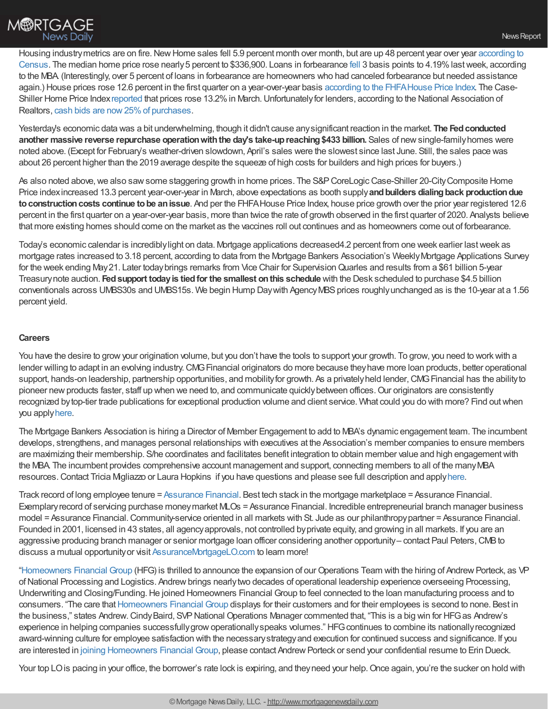Housing industry metrics are on fire. New Home sales fell 5.9 percent month over month, but are up 48 percent year over year according to Census. The median home price rose nearly5 percent to \$336,900. Loans in forbearance [fell](https://newslink.mba.org/mba-newslinks/2021/may/mba-newslink-tuesday-may-25-2021/mba-share-of-mortgage-loans-in-forbearance-decreases-to-4-19/?utm_campaign=MBA%20NewsLink%20Tuesday%20May%2025%202021&utm_medium=email&utm_source=Eloqua) 3 basis points to [4.19%lastweek,](https://www.census.gov/construction/nrs/pdf/newressales.pdf) according to the MBA (Interestingly, over 5 percent of loans in forbearance are homeowners who had canceled forbearance but needed assistance again.) House prices rose 12.6 percent in the first quarter on a year-over-year basis according to the [FHFAHouse](https://www.fhfa.gov/AboutUs/Reports/ReportDocuments/2021Q1_HPI.pdf) Price Index. The CaseShiller Home Price Index [reported](https://www.spglobal.com/spdji/en/corporate-news/article/sp-corelogic-case-shiller-index-shows-annual-home-price-gains-climbed-to-132-in-march/) that prices rose 13.2% in March. Unfortunately for lenders, according to the National Association of Realtors, cash bids are [now25%of](https://www.nar.realtor/blogs/economists-outlook/all-cash-sales-are-rising-sharply-amid-intense-buyer-competition) purchases.

Yesterday's economic data was a bit underwhelming, though it didn't cause anysignificant reaction in the market. **The Fedconducted another massive reverse repurchase operationwiththe day's take-upreaching\$433 billion.** Sales of newsingle-familyhomes were noted above. (Except for February's weather-driven slowdown, April's sales were the slowest since last June. Still, the sales pace was about 26 percent higher than the 2019 average despite the squeeze of high costs for builders and high prices for buyers.)

As also noted above, we also saw some staggering growth in home prices. The S&P CoreLogic Case-Shiller 20-City Composite Home Price indexincreased 13.3 percent year-over-year in March, above expectations as booth supply**andbuilders dialingback productiondue toconstructioncosts continue tobe anissue**. And per the FHFAHouse Price Index, house price growth over the prior year registered 12.6 percent in the first quarter on a year-over-year basis, more than twice the rate of growth observed in the first quarter of 2020. Analysts believe that more existing homes should come on the market as the vaccines roll out continues and as homeowners come out of forbearance.

Today's economic calendar is incrediblylight on data. Mortgage applications decreased4.2 percent from one week earlier lastweek as mortgage rates increased to 3.18 percent, according to data from the Mortgage Bankers Association's WeeklyMortgage Applications Survey for the week ending May 21. Later today brings remarks from Vice Chair for Supervision Quarles and results from a \$61 billion 5-year Treasurynote auction. **Fedsupport todayis tiedfor the smallest onthis schedule** with the Desk scheduled to purchase \$4.5 billion conventionals across UMBS30s and UMBS15s. We begin Hump Daywith Agency MBS prices roughly unchanged as is the 10-year at a 1.56 percent yield.

#### **Careers**

You have the desire to growyour origination volume, but you don't have the tools to support your growth. To grow, you need to workwith a lender willing to adapt in an evolving industry. CMG Financial originators do more because they have more loan products, better operational support, hands-on leadership, partnership opportunities, and mobility for growth. As a privately held lender, CMG Financial has the ability to pioneer new products faster, staff up when we need to, and communicate quickly between offices. Our originators are consistently recognized by top-tier trade publications for exceptional production volume and client service. What could you do with more? Find out when you apply[here](https://www.cmgfi.com/careers?utm_medium=blogpost&utm_source=chrisman&utm_campaign=recruiting-lo-chrisman-post&utm_content=general).

The Mortgage Bankers Association is hiring a Director of Member Engagement to add to MBA's dynamic engagement team. The incumbent develops, strengthens, and manages personal relationships with executives at the Association's member companies to ensure members are maximizing their membership. S/he coordinates and facilitates benefit integration to obtain member value and high engagement with the MBA. The incumbent provides comprehensive account management and support, connecting members to all of the manyMBA resources.Contact Tricia Migliazzo or Laura Hopkins if you have questions and please see full description and apply[here](https://phh.tbe.taleo.net/phh03/ats/careers/v2/viewRequisition?org=MBA&cws=38&rid=402).

Track record of long employee tenure = [Assurance](http://www.assurancemortgagelo.com/) Financial. Best tech stack in the mortgage marketplace = Assurance Financial. Exemplaryrecord of servicing purchase moneymarket MLOs = Assurance Financial. Incredible entrepreneurial branch manager business model = Assurance Financial. Community-service oriented in all markets with St. Jude as our philanthropy partner = Assurance Financial. Founded in 2001, licensed in 43 states, all agencyapprovals, not controlled byprivate equity, and growing in all markets. If you are an aggressive producing branch manager or senior mortgage loan officer considering another opportunity– contact Paul Peters, CMB to discuss a mutual opportunityor visit [AssuranceMortgageLO.com](http://www.assurancemortgagelo.com/) to learn more!

["Homeowners](https://www.homeownersfg.com/) Financial Group (HFG) is thrilled to announce the expansion of our Operations Team with the hiring of Andrew Porteck, as VP of National Processing and Logistics. Andrew brings nearlytwo decades of operational leadership experience overseeing Processing, Underwriting and Closing/Funding.He joined Homeowners Financial Group to feel connected to the loan manufacturing process and to consumers. "The care that [Homeowners](https://www.homeownersfg.com/) Financial Group displays for their customers and for their employees is second to none. Best in the business," states Andrew.CindyBaird, SVPNational Operations Manager commented that, "This is a big win for HFGas Andrew's experience in helping companies successfully grow operationally speaks volumes." HFG continues to combine its nationally recognized award-winning culture for employee satisfaction with the necessarystrategyand execution for continued success and significance. If you are interested in joining [Homeowners](https://www.homeownersfg.com/careers/) Financial Group, please contact Andrew Porteck or send your confidential resume to Erin Dueck.

Your top LO is pacing in your office, the borrower's rate lock is expiring, and they need your help. Once again, you're the sucker on hold with